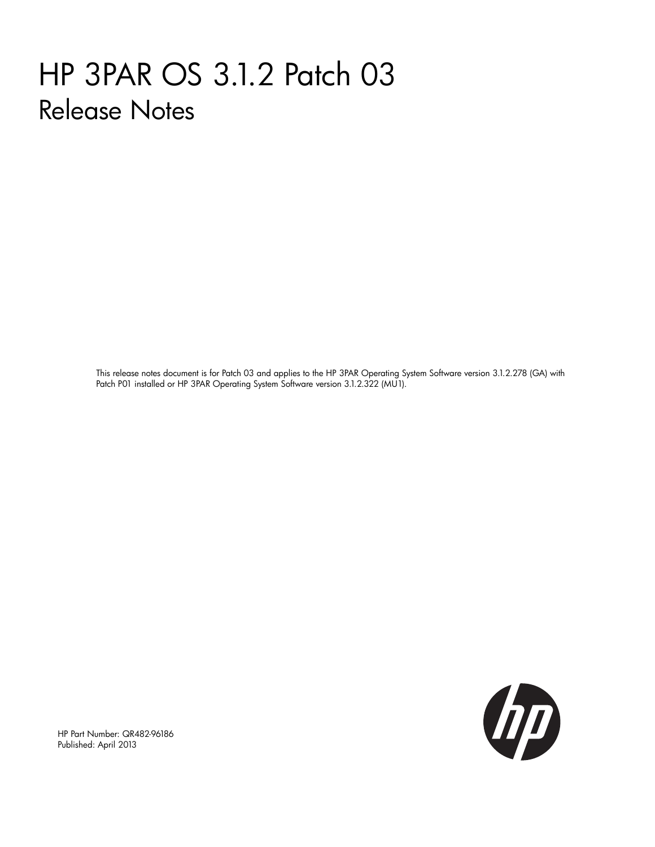# HP 3PAR OS 3.1.2 Patch 03 Release Notes

This release notes document is for Patch 03 and applies to the HP 3PAR Operating System Software version 3.1.2.278 (GA) with Patch P01 installed or HP 3PAR Operating System Software version 3.1.2.322 (MU1).



HP Part Number: QR482-96186 Published: April 2013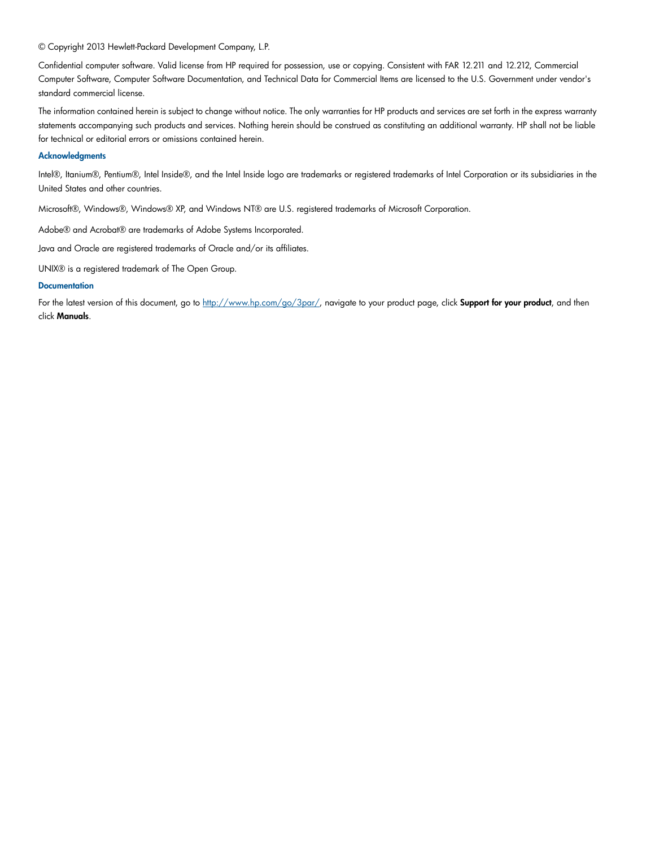#### © Copyright 2013 Hewlett-Packard Development Company, L.P.

Confidential computer software. Valid license from HP required for possession, use or copying. Consistent with FAR 12.211 and 12.212, Commercial Computer Software, Computer Software Documentation, and Technical Data for Commercial Items are licensed to the U.S. Government under vendor's standard commercial license.

The information contained herein is subject to change without notice. The only warranties for HP products and services are set forth in the express warranty statements accompanying such products and services. Nothing herein should be construed as constituting an additional warranty. HP shall not be liable for technical or editorial errors or omissions contained herein.

#### **Acknowledgments**

Intel®, Itanium®, Pentium®, Intel Inside®, and the Intel Inside logo are trademarks or registered trademarks of Intel Corporation or its subsidiaries in the United States and other countries.

Microsoft®, Windows®, Windows® XP, and Windows NT® are U.S. registered trademarks of Microsoft Corporation.

Adobe® and Acrobat® are trademarks of Adobe Systems Incorporated.

Java and Oracle are registered trademarks of Oracle and/or its affiliates.

UNIX® is a registered trademark of The Open Group.

#### **Documentation**

For the latest version of this document, go to [http://www.hp.com/go/3par/,](http://www.hp.com/go/3par/) navigate to your product page, click Support for your product, and then click Manuals.